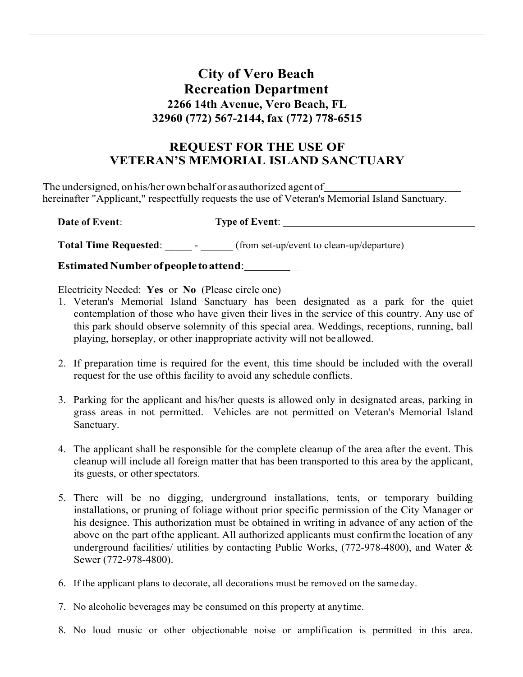# **City of Vero Beach Recreation Department 2266 14th Avenue, Vero Beach, FL 32960 (772) 567-2144, fax (772) 778-6515**

## **REQUEST FOR THE USE OF VETERAN'S MEMORIAL ISLAND SANCTUARY**

 The undersigned, on his/her own behalf or asauthorized agent of \_ hereinafter "Applicant," respectfully requests the use of Veteran's Memorial Island Sanctuary.

Date of Event:  $T_{\rm g}$ **Date of Event**: **Type of Event**:

**Total Time Requested:** \_\_\_\_\_\_\_ - \_\_\_\_\_\_ (from set-up/event to clean-up/departure)

 **Estimated Number ofpeopletoattend**: \_

Electricity Needed: **Yes** or **No** (Please circle one)

- contemplation of those who have given their lives in the service of this country. Any use of playing, horseplay, or other inappropriate activity will not beallowed. 1. Veteran's Memorial Island Sanctuary has been designated as a park for the quiet this park should observe solemnity of this special area. Weddings, receptions, running, ball
- 2. If preparation time is required for the event, this time should be included with the overall request for the use ofthis facility to avoid any schedule conflicts.
- 3. Parking for the applicant and his/her quests is allowed only in designated areas, parking in grass areas in not permitted. Vehicles are not permitted on Veteran's Memorial Island Sanctuary.
- 4. The applicant shall be responsible for the complete cleanup of the area after the event. This cleanup will include all foreign matter that has been transported to this area by the applicant, its guests, or other spectators.
- installations, or pruning of foliage without prior specific permission of the City Manager or above on the part of the applicant. All authorized applicants must confirm the location of any underground facilities/ utilities by contacting Public Works,  $(772-978-4800)$ , and Water & 5. There will be no digging, underground installations, tents, or temporary building his designee. This authorization must be obtained in writing in advance of any action of the Sewer (772-978-4800).
- 6. If the applicant plans to decorate, all decorations must be removed on the sameday.
- 7. No alcoholic beverages may be consumed on this property at anytime.
- 8. No loud music or other objectionable noise or amplification is permitted in this area.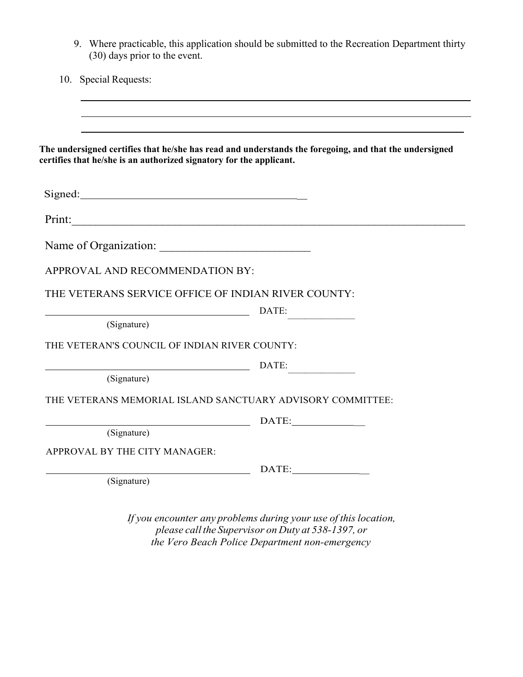| (30) days prior to the event.                                       | 9. Where practicable, this application should be submitted to the Recreation Department thirty         |
|---------------------------------------------------------------------|--------------------------------------------------------------------------------------------------------|
| 10. Special Requests:                                               |                                                                                                        |
|                                                                     |                                                                                                        |
|                                                                     |                                                                                                        |
| certifies that he/she is an authorized signatory for the applicant. | The undersigned certifies that he/she has read and understands the foregoing, and that the undersigned |
|                                                                     |                                                                                                        |
| Signed:                                                             |                                                                                                        |
|                                                                     |                                                                                                        |
|                                                                     |                                                                                                        |
| APPROVAL AND RECOMMENDATION BY:                                     |                                                                                                        |
|                                                                     |                                                                                                        |
| THE VETERANS SERVICE OFFICE OF INDIAN RIVER COUNTY:                 |                                                                                                        |
|                                                                     |                                                                                                        |
| DATE:<br>(Signature)                                                |                                                                                                        |
| THE VETERAN'S COUNCIL OF INDIAN RIVER COUNTY:                       |                                                                                                        |
|                                                                     |                                                                                                        |
| $\overline{\phantom{a}}$ DATE:<br>(Signature)                       |                                                                                                        |
| THE VETERANS MEMORIAL ISLAND SANCTUARY ADVISORY COMMITTEE:          |                                                                                                        |
|                                                                     |                                                                                                        |
| (Signature)                                                         |                                                                                                        |
| APPROVAL BY THE CITY MANAGER:                                       |                                                                                                        |
| (Signature)                                                         |                                                                                                        |

 *please call the Supervisor on Duty at 538-1397, or the Vero Beach Police Department non-emergency*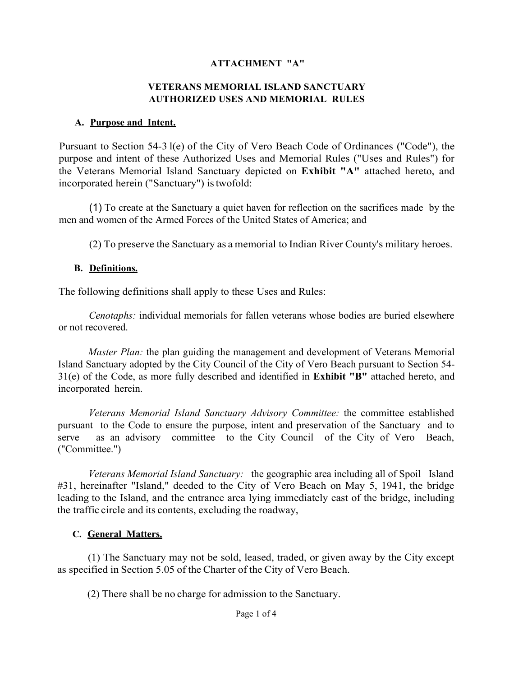#### **ATTACHMENT "A"**

#### **AUTHORIZED USES AND MEMORIAL RULES VETERANS MEMORIAL ISLAND SANCTUARY**

#### **A. Purpose and Intent.**

 Pursuant to Section 54-3 l(e) of the City of Vero Beach Code of Ordinances ("Code"), the the Veterans Memorial Island Sanctuary depicted on **Exhibit "A"** attached hereto, and purpose and intent of these Authorized Uses and Memorial Rules ("Uses and Rules") for incorporated herein ("Sanctuary") is twofold:

 (1) To create at the Sanctuary a quiet haven for reflection on the sacrifices made by the men and women of the Armed Forces of the United States of America; and

(2) To preserve the Sanctuary as a memorial to Indian River County's military heroes.

#### **B. Definitions.**

The following definitions shall apply to these Uses and Rules:

*Cenotaphs:* individual memorials for fallen veterans whose bodies are buried elsewhere or not recovered.

*Master Plan:* the plan guiding the management and development of Veterans Memorial incorporated herein. Island Sanctuary adopted by the City Council of the City of Vero Beach pursuant to Section 54- 31(e) of the Code, as more fully described and identified in **Exhibit "B"** attached hereto, and

serve *Veterans Memorial Island Sanctuary Advisory Committee:* the committee established pursuant to the Code to ensure the purpose, intent and preservation of the Sanctuary and to as an advisory committee to the City Council of the City of Vero Beach, ("Committee.")

Veterans Memorial Island Sanctuary: the geographic area including all of Spoil Island #31, hereinafter "Island," deeded to the City of Vero Beach on May 5, 1941, the bridge leading to the Island, and the entrance area lying immediately east of the bridge, including the traffic circle and its contents, excluding the roadway,

#### **C. General Matters.**

 as specified in Section 5.05 of the Charter of the City of Vero Beach. (1) The Sanctuary may not be sold, leased, traded, or given away by the City except

(2) There shall be no charge for admission to the Sanctuary.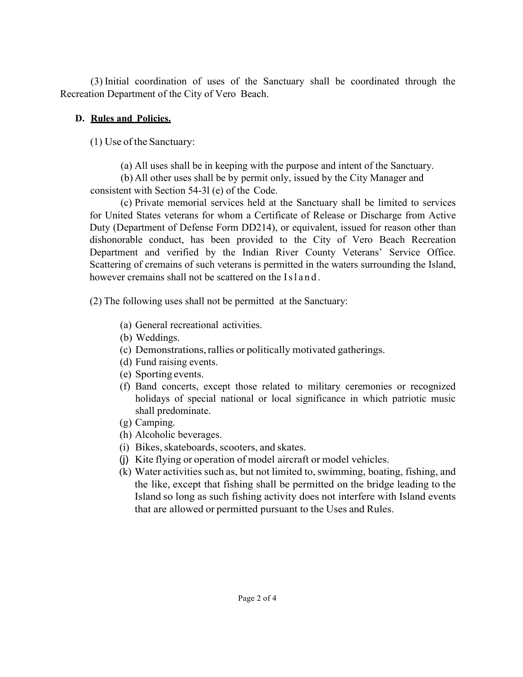Recreation Department of the City of Vero Beach. (3) Initial coordination of uses of the Sanctuary shall be coordinated through the

## **D. Rules and Policies.**

(1) Use of the Sanctuary:

(a) All uses shall be in keeping with the purpose and intent of the Sanctuary.

 consistent with Section 54-3l (e) of the Code. (b) All other uses shall be by permit only, issued by the City Manager and

 Department and verified by the Indian River County Veterans' Service Office. (c) Private memorial services held at the Sanctuary shall be limited to services for United States veterans for whom a Certificate of Release or Discharge from Active Duty (Department of Defense Form DD214), or equivalent, issued for reason other than dishonorable conduct, has been provided to the City of Vero Beach Recreation Scattering of cremains of such veterans is permitted in the waters surrounding the Island, however cremains shall not be scattered on the Island.

(2) The following uses shall not be permitted at the Sanctuary:

- (a) General recreational activities.
- (b) Weddings.
- (c) Demonstrations, rallies or politically motivated gatherings.
- (d) Fund raising events.
- (e) Sporting events.
- (f) Band concerts, except those related to military ceremonies or recognized holidays of special national or local significance in which patriotic music shall predominate.
- (g) Camping.
- (h) Alcoholic beverages.
- (i) Bikes, skateboards, scooters, and skates.
- (j) Kite flying or operation of model aircraft or model vehicles.
- (k) Water activities such as, but not limited to, swimming, boating, fishing, and the like, except that fishing shall be permitted on the bridge leading to the that are allowed or permitted pursuant to the Uses and Rules. Island so long as such fishing activity does not interfere with Island events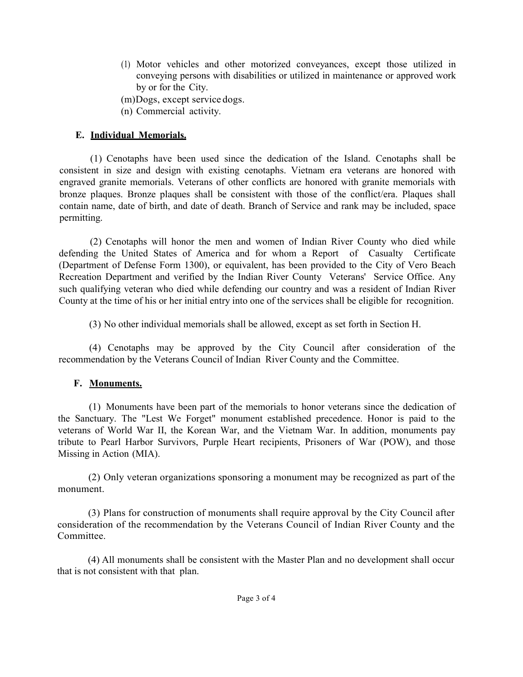- by or for the City. (1) Motor vehicles and other motorized conveyances, except those utilized in conveying persons with disabilities or utilized in maintenance or approved work
- (m)Dogs, except service dogs.
- (n) Commercial activity.

## **E. Individual Memorials.**

(1) Cenotaphs have been used since the dedication of the Island. Cenotaphs shall be consistent in size and design with existing cenotaphs. Vietnam era veterans are honored with engraved granite memorials. Veterans of other conflicts are honored with granite memorials with bronze plaques. Bronze plaques shall be consistent with those of the conflict/era. Plaques shall contain name, date of birth, and date of death. Branch of Service and rank may be included, space permitting.

 defending the United States of America and for whom a Report of Casualty Certificate County at the time of his or her initial entry into one of the services shall be eligible for recognition. (2) Cenotaphs will honor the men and women of Indian River County who died while (Department of Defense Form 1300), or equivalent, has been provided to the City of Vero Beach Recreation Department and verified by the Indian River County Veterans' Service Office. Any such qualifying veteran who died while defending our country and was a resident of Indian River

(3) No other individual memorials shall be allowed, except as set forth in Section H.

 recommendation by the Veterans Council of Indian River County and the Committee. (4) Cenotaphs may be approved by the City Council after consideration of the

## **F. Monuments.**

 the Sanctuary. The "Lest We Forget" monument established precedence. Honor is paid to the Missing in Action (MIA). (1) Monuments have been part of the memorials to honor veterans since the dedication of veterans of World War II, the Korean War, and the Vietnam War. In addition, monuments pay tribute to Pearl Harbor Survivors, Purple Heart recipients, Prisoners of War (POW), and those

 (2) Only veteran organizations sponsoring a monument may be recognized as part of the monument.

 (3) Plans for construction of monuments shall require approval by the City Council after consideration of the recommendation by the Veterans Council of Indian River County and the Committee.

 (4) All monuments shall be consistent with the Master Plan and no development shall occur that is not consistent with that plan.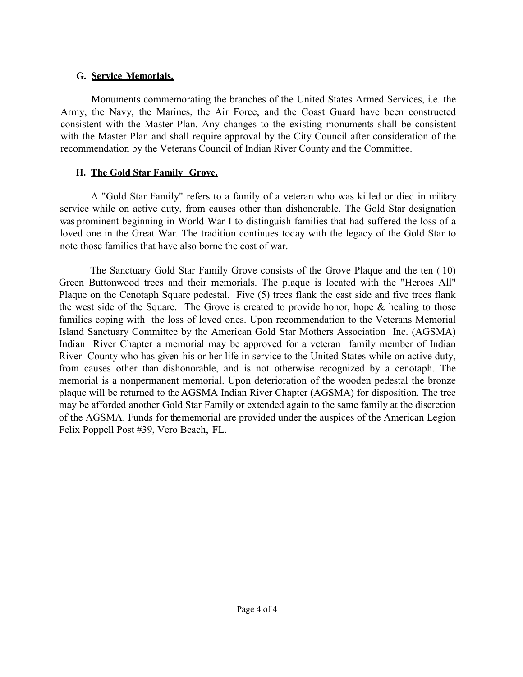## **G. Service Memorials.**

 Army, the Navy, the Marines, the Air Force, and the Coast Guard have been constructed recommendation by the Veterans Council of Indian River County and the Committee. Monuments commemorating the branches of the United States Armed Services, i.e. the consistent with the Master Plan. Any changes to the existing monuments shall be consistent with the Master Plan and shall require approval by the City Council after consideration of the

## **H. The Gold Star Family Grove.**

 note those families that have also borne the cost of war. A "Gold Star Family" refers to a family of a veteran who was killed or died in military service while on active duty, from causes other than dishonorable. The Gold Star designation was prominent beginning in World War I to distinguish families that had suffered the loss of a loved one in the Great War. The tradition continues today with the legacy of the Gold Star to

 the west side of the Square. The Grove is created to provide honor, hope & healing to those Island Sanctuary Committee by the American Gold Star Mothers Association Inc. (AGSMA) Island Sanctuary Committee by the American Gold Star Mothers Association Inc. (AGSMA)<br>Indian River Chapter a memorial may be approved for a veteran family member of Indian River County who has given his or her life in service to the United States while on active duty, may be afforded another Gold Star Family or extended again to the same family at the discretion Felix Poppell Post #39, Vero Beach, FL. The Sanctuary Gold Star Family Grove consists of the Grove Plaque and the ten ( 10) Green Buttonwood trees and their memorials. The plaque is located with the "Heroes All" Plaque on the Cenotaph Square pedestal. Five (5) trees flank the east side and five trees flank families coping with the loss of loved ones. Upon recommendation to the Veterans Memorial from causes other than dishonorable, and is not otherwise recognized by a cenotaph. The memorial is a nonpermanent memorial. Upon deterioration of the wooden pedestal the bronze plaque will be returned to the AGSMA Indian River Chapter (AGSMA) for disposition. The tree of the AGSMA. Funds for the memorial are provided under the auspices of the American Legion